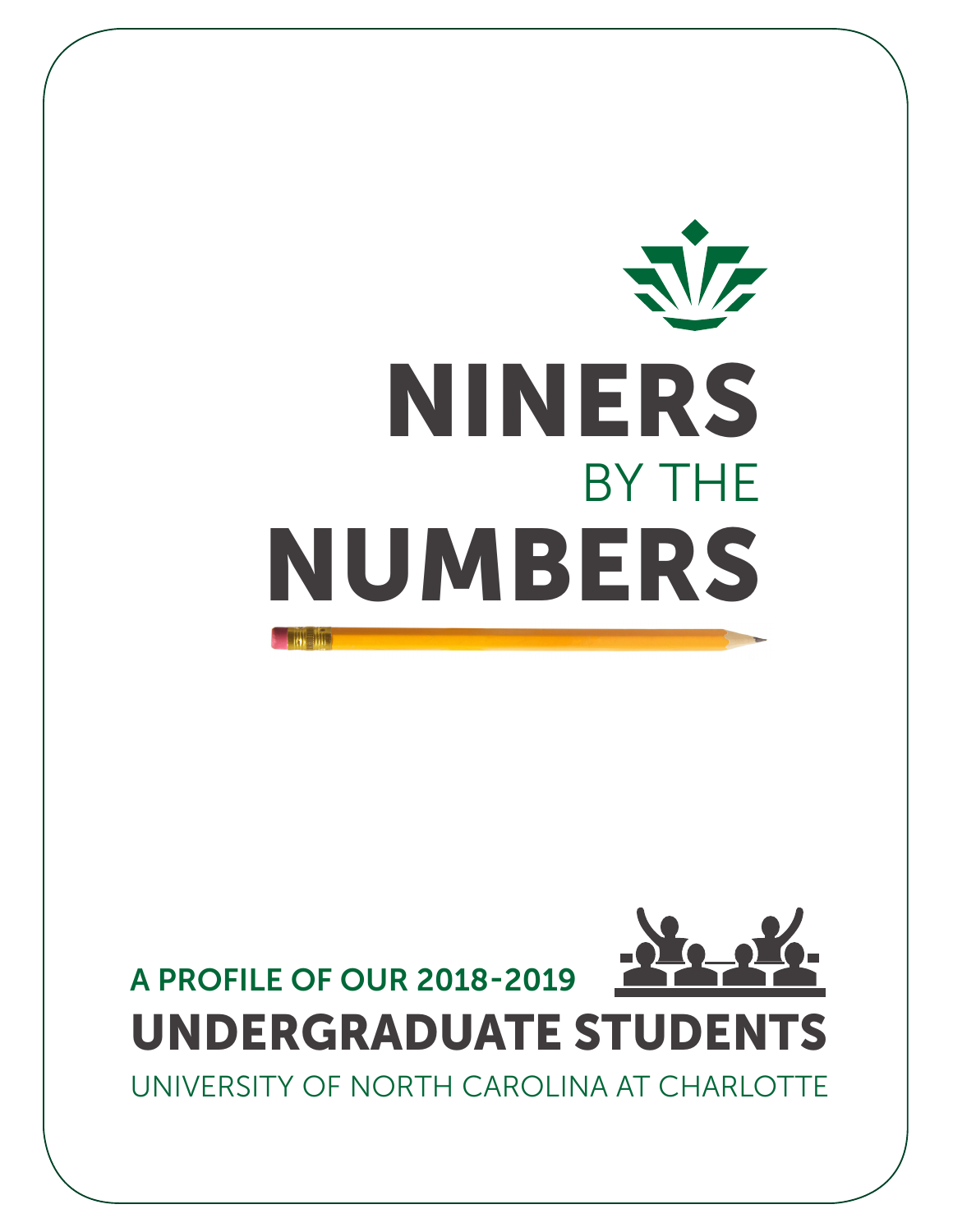# **VE** NINERS BY THE NUMBERS

## A PROFILE OF OUR 2018-2019 UNDERGRADUATE STUDENTS

UNIVERSITY OF NORTH CAROLINA AT CHARLOTTE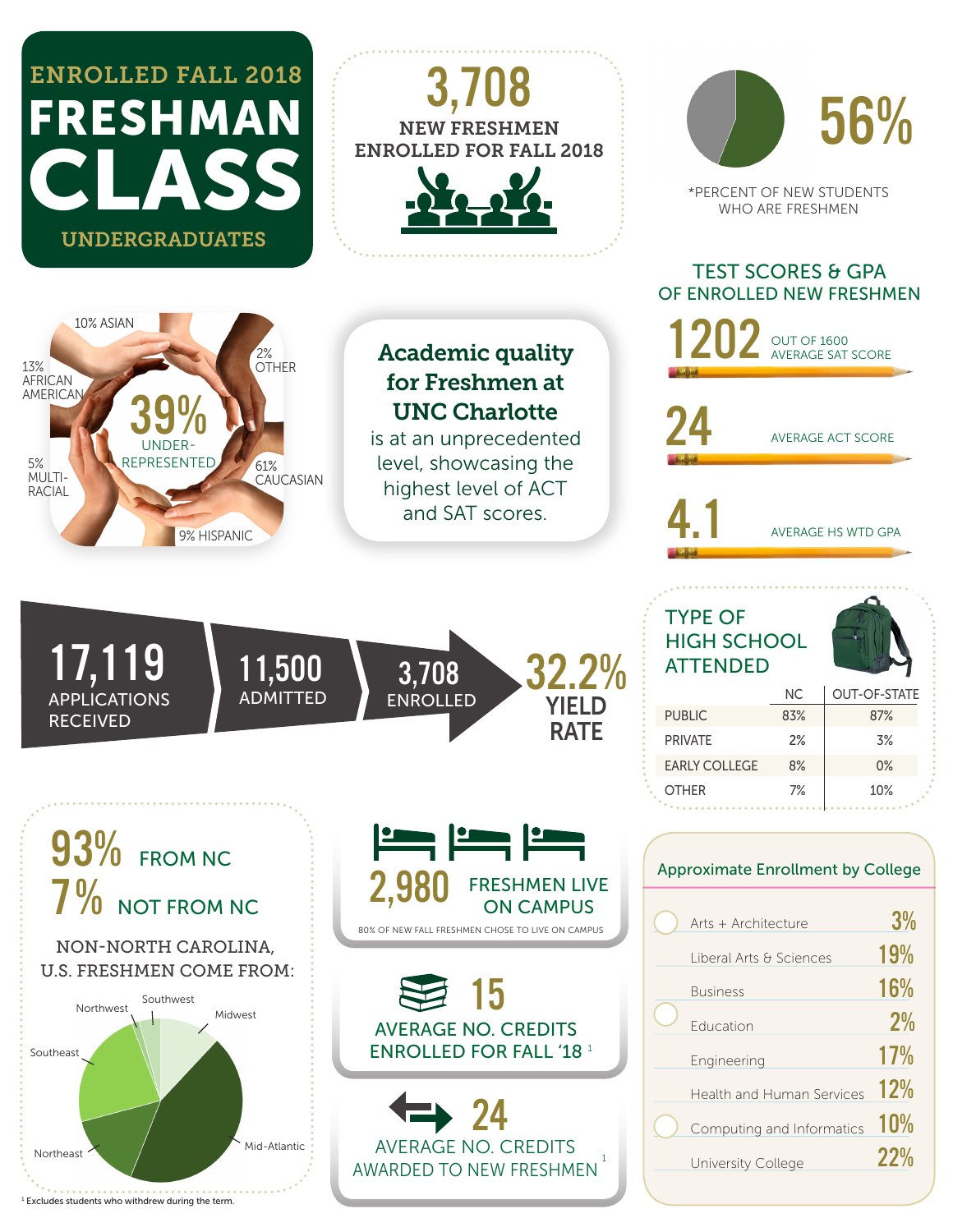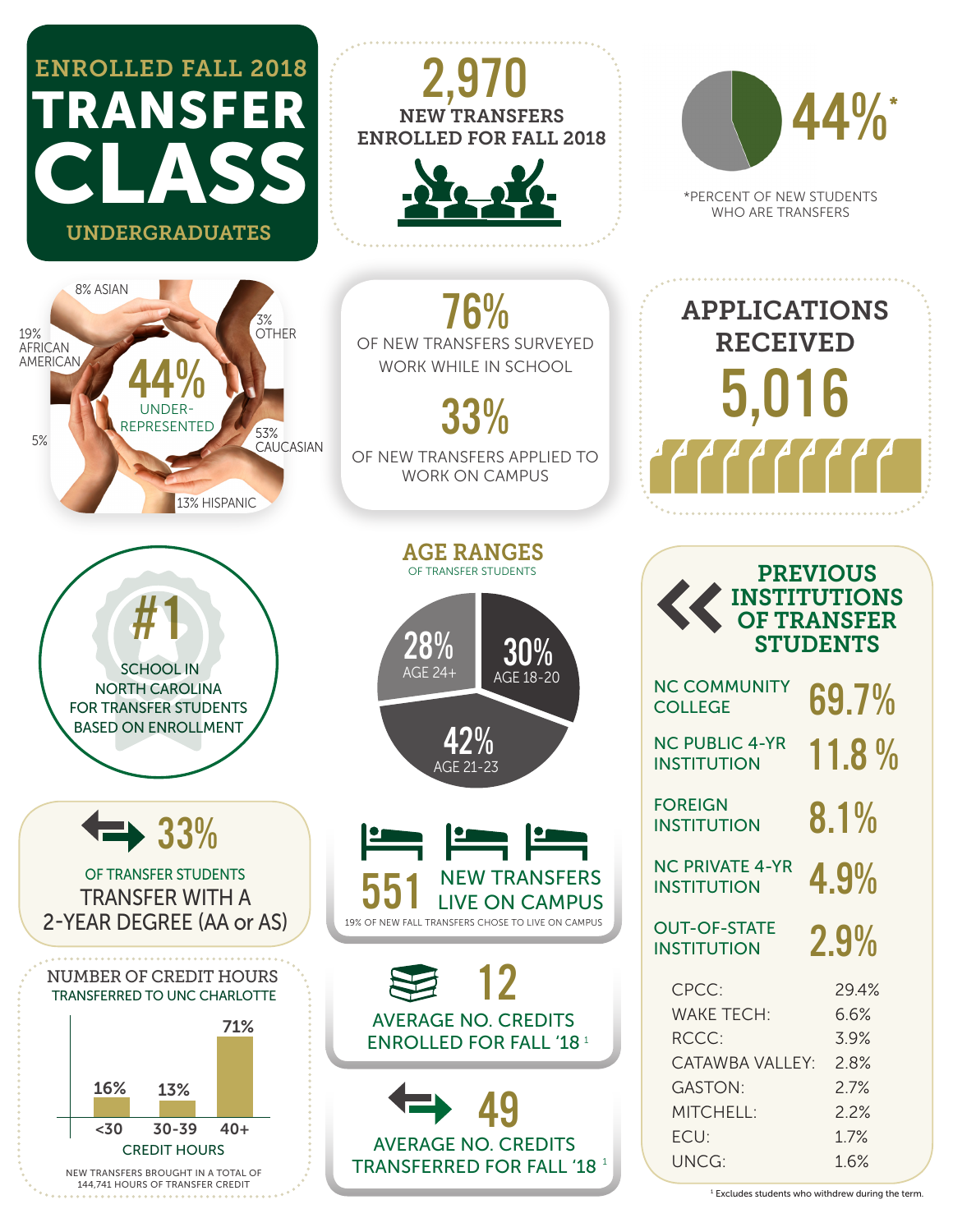

<sup>1</sup> Excludes students who withdrew during the term.